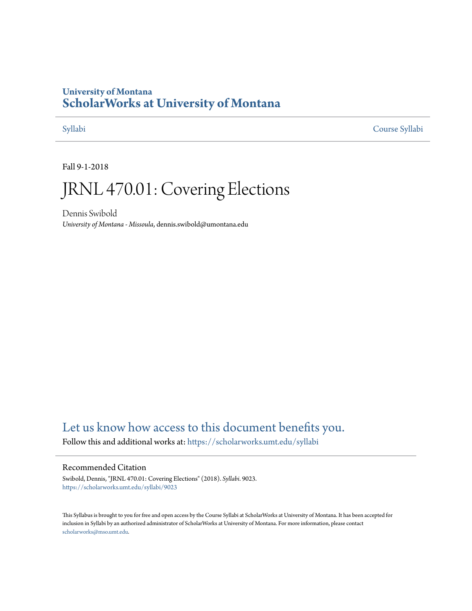#### **University of Montana [ScholarWorks at University of Montana](https://scholarworks.umt.edu?utm_source=scholarworks.umt.edu%2Fsyllabi%2F9023&utm_medium=PDF&utm_campaign=PDFCoverPages)**

[Syllabi](https://scholarworks.umt.edu/syllabi?utm_source=scholarworks.umt.edu%2Fsyllabi%2F9023&utm_medium=PDF&utm_campaign=PDFCoverPages) [Course Syllabi](https://scholarworks.umt.edu/course_syllabi?utm_source=scholarworks.umt.edu%2Fsyllabi%2F9023&utm_medium=PDF&utm_campaign=PDFCoverPages)

Fall 9-1-2018

# JRNL 470.01: Covering Elections

Dennis Swibold *University of Montana - Missoula*, dennis.swibold@umontana.edu

### [Let us know how access to this document benefits you.](https://goo.gl/forms/s2rGfXOLzz71qgsB2)

Follow this and additional works at: [https://scholarworks.umt.edu/syllabi](https://scholarworks.umt.edu/syllabi?utm_source=scholarworks.umt.edu%2Fsyllabi%2F9023&utm_medium=PDF&utm_campaign=PDFCoverPages)

#### Recommended Citation

Swibold, Dennis, "JRNL 470.01: Covering Elections" (2018). *Syllabi*. 9023. [https://scholarworks.umt.edu/syllabi/9023](https://scholarworks.umt.edu/syllabi/9023?utm_source=scholarworks.umt.edu%2Fsyllabi%2F9023&utm_medium=PDF&utm_campaign=PDFCoverPages)

This Syllabus is brought to you for free and open access by the Course Syllabi at ScholarWorks at University of Montana. It has been accepted for inclusion in Syllabi by an authorized administrator of ScholarWorks at University of Montana. For more information, please contact [scholarworks@mso.umt.edu](mailto:scholarworks@mso.umt.edu).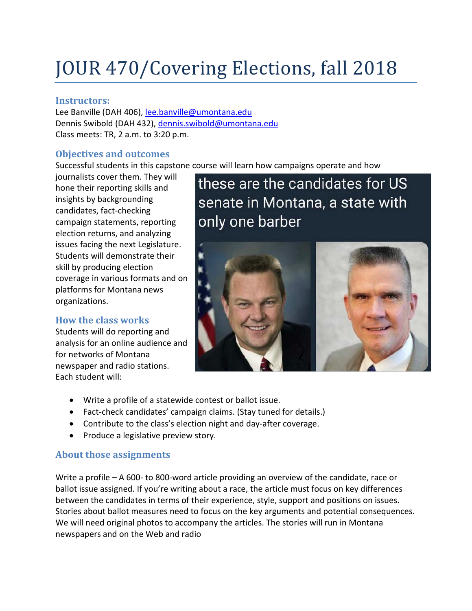# JOUR 470/Covering Elections, fall 2018

#### **Instructors:**

Lee Banville (DAH 406), [lee.banville@umontana.edu](mailto:lee.banville@umontana.edu) Dennis Swibold (DAH 432), [dennis.swibold@umontana.edu](mailto:dennis.swibold@umontana.edu) Class meets: TR, 2 a.m. to 3:20 p.m.

#### **Objectives and outcomes**

Successful students in this capstone course will learn how campaigns operate and how

journalists cover them. They will hone their reporting skills and insights by backgrounding candidates, fact-checking campaign statements, reporting election returns, and analyzing issues facing the next Legislature. Students will demonstrate their skill by producing election coverage in various formats and on platforms for Montana news organizations.

#### **How the class works**

Students will do reporting and analysis for an online audience and for networks of Montana newspaper and radio stations. Each student will:

## these are the candidates for US senate in Montana, a state with only one barber



- Write a profile of a statewide contest or ballot issue.
- Fact-check candidates' campaign claims. (Stay tuned for details.)
- Contribute to the class's election night and day-after coverage.
- Produce a legislative preview story.

#### **About those assignments**

Write a profile – A 600- to 800-word article providing an overview of the candidate, race or ballot issue assigned. If you're writing about a race, the article must focus on key differences between the candidates in terms of their experience, style, support and positions on issues. Stories about ballot measures need to focus on the key arguments and potential consequences. We will need original photos to accompany the articles. The stories will run in Montana newspapers and on the Web and radio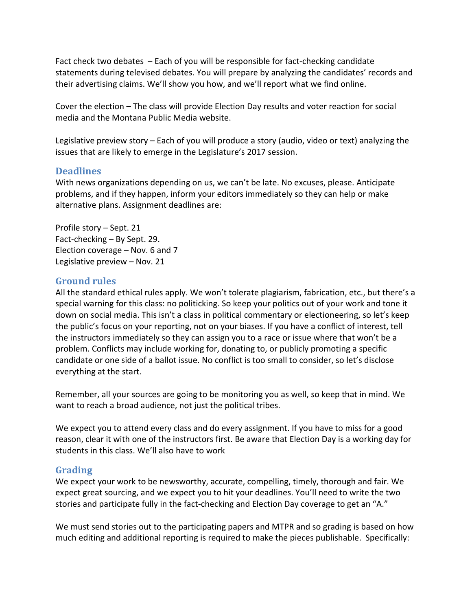Fact check two debates – Each of you will be responsible for fact-checking candidate statements during televised debates. You will prepare by analyzing the candidates' records and their advertising claims. We'll show you how, and we'll report what we find online.

Cover the election – The class will provide Election Day results and voter reaction for social media and the Montana Public Media website.

Legislative preview story – Each of you will produce a story (audio, video or text) analyzing the issues that are likely to emerge in the Legislature's 2017 session.

#### **Deadlines**

With news organizations depending on us, we can't be late. No excuses, please. Anticipate problems, and if they happen, inform your editors immediately so they can help or make alternative plans. Assignment deadlines are:

Profile story – Sept. 21 Fact-checking – By Sept. 29. Election coverage – Nov. 6 and 7 Legislative preview – Nov. 21

#### **Ground rules**

All the standard ethical rules apply. We won't tolerate plagiarism, fabrication, etc., but there's a special warning for this class: no politicking. So keep your politics out of your work and tone it down on social media. This isn't a class in political commentary or electioneering, so let's keep the public's focus on your reporting, not on your biases. If you have a conflict of interest, tell the instructors immediately so they can assign you to a race or issue where that won't be a problem. Conflicts may include working for, donating to, or publicly promoting a specific candidate or one side of a ballot issue. No conflict is too small to consider, so let's disclose everything at the start.

Remember, all your sources are going to be monitoring you as well, so keep that in mind. We want to reach a broad audience, not just the political tribes.

We expect you to attend every class and do every assignment. If you have to miss for a good reason, clear it with one of the instructors first. Be aware that Election Day is a working day for students in this class. We'll also have to work

#### **Grading**

We expect your work to be newsworthy, accurate, compelling, timely, thorough and fair. We expect great sourcing, and we expect you to hit your deadlines. You'll need to write the two stories and participate fully in the fact-checking and Election Day coverage to get an "A."

We must send stories out to the participating papers and MTPR and so grading is based on how much editing and additional reporting is required to make the pieces publishable. Specifically: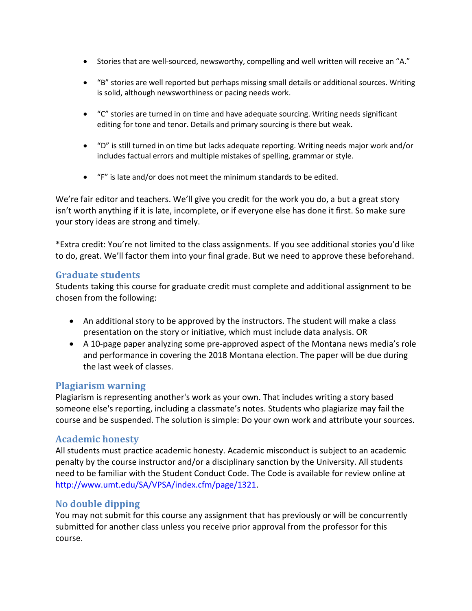- Stories that are well-sourced, newsworthy, compelling and well written will receive an "A."
- "B" stories are well reported but perhaps missing small details or additional sources. Writing is solid, although newsworthiness or pacing needs work.
- "C" stories are turned in on time and have adequate sourcing. Writing needs significant editing for tone and tenor. Details and primary sourcing is there but weak.
- "D" is still turned in on time but lacks adequate reporting. Writing needs major work and/or includes factual errors and multiple mistakes of spelling, grammar or style.
- "F" is late and/or does not meet the minimum standards to be edited.

We're fair editor and teachers. We'll give you credit for the work you do, a but a great story isn't worth anything if it is late, incomplete, or if everyone else has done it first. So make sure your story ideas are strong and timely.

\*Extra credit: You're not limited to the class assignments. If you see additional stories you'd like to do, great. We'll factor them into your final grade. But we need to approve these beforehand.

#### **Graduate students**

Students taking this course for graduate credit must complete and additional assignment to be chosen from the following:

- An additional story to be approved by the instructors. The student will make a class presentation on the story or initiative, which must include data analysis. OR
- A 10-page paper analyzing some pre-approved aspect of the Montana news media's role and performance in covering the 2018 Montana election. The paper will be due during the last week of classes.

#### **Plagiarism warning**

Plagiarism is representing another's work as your own. That includes writing a story based someone else's reporting, including a classmate's notes. Students who plagiarize may fail the course and be suspended. The solution is simple: Do your own work and attribute your sources.

#### **Academic honesty**

All students must practice academic honesty. Academic misconduct is subject to an academic penalty by the course instructor and/or a disciplinary sanction by the University. All students need to be familiar with the Student Conduct Code. The Code is available for review online at [http://www.umt.edu/SA/VPSA/index.cfm/page/1321.](http://www.umt.edu/SA/VPSA/index.cfm/page/1321)

#### **No double dipping**

You may not submit for this course any assignment that has previously or will be concurrently submitted for another class unless you receive prior approval from the professor for this course.